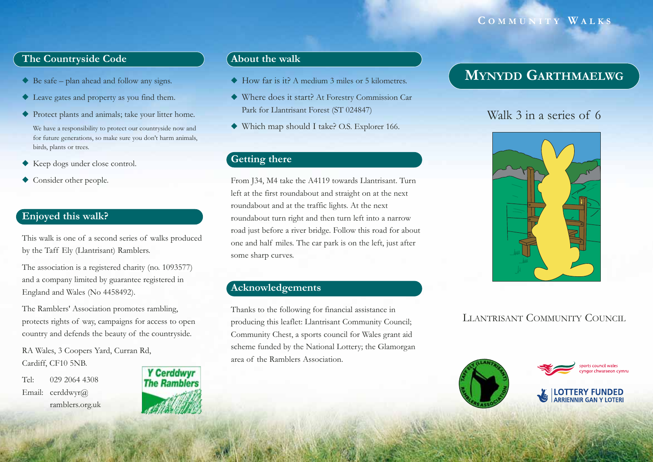### **C OMMUNITY W ALKS**

### **The Countryside Code**

- ◆ Be safe plan ahead and follow any signs.
- ◆ Leave gates and property as you find them.
- ◆ Protect plants and animals; take your litter home.

We have a responsibility to protect our countryside now and for future generations, so make sure you don't harm animals, birds, plants or trees.

- ◆ Keep dogs under close control.
- ◆ Consider other people.

### **Enjoyed this walk?**

This walk is one of a second series of walks produced by the Taff Ely (Llantrisant) Ramblers.

The association is a registered charity (no. 1093577) and a company limited by guarantee registered in England and Wales (No 4458492).

The Ramblers' Association promotes rambling, protects rights of way, campaigns for access to open country and defends the beauty of the countryside.

RA Wales, 3 Coopers Yard, Curran Rd, Cardiff, CF10 5NB.

Tel: 029 2064 4308Email: cerddwyr@ ramblers.org.uk



#### **About the walk**

- ◆ How far is it? A medium 3 miles or 5 kilometres.
- ◆ Where does it start? At Forestry Commission Car Park for Llantrisant Forest (ST 024847)
- ◆ Which map should I take? O.S. Explorer 166.

### **Getting there**

From J34, M4 take the A4119 towards Llantrisant. Turn left at the first roundabout and straight on at the next roundabout and at the traffic lights. At the next roundabout turn right and then turn left into a narrow road just before a river bridge. Follow this road for about one and half miles. The car park is on the left, just after some sharp curves.

### **Acknowledgements**

Thanks to the following for financial assistance in producing this leaflet: Llantrisant Community Council; Community Chest, a sports council for Wales grant aid scheme funded by the National Lottery; the Glamorgan area of the Ramblers Association.

# **MYNYDD GARTHMAELWG**

# Walk 3 in a series of 6



# LLANTRISANT COMMUNITY COUNCIL